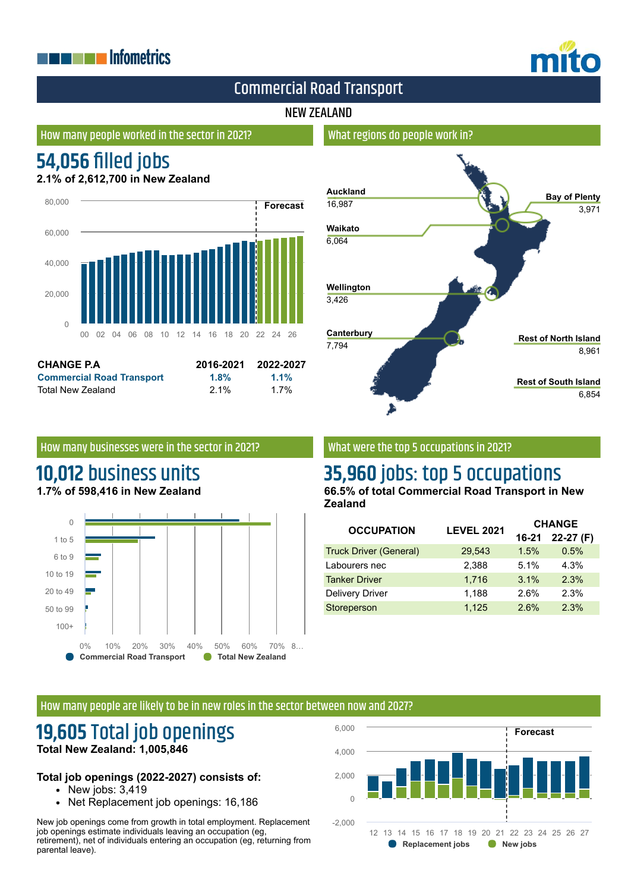# **THE EXPLOSITION ENERGY INC.**



# Commercial Road Transport

## NEW ZEALAND

## How many people worked in the sector in 2021?

# **54,056 filled jobs**

**2.1% of 2,612,700 in New Zealand**



| <b>CHANGE P.A.</b>               | 2016-2021 | 2022-2027 |
|----------------------------------|-----------|-----------|
| <b>Commercial Road Transport</b> | 1.8%      | $1.1\%$   |
| Total New Zealand                | $2.1\%$   | 1.7%      |

## How many businesses were in the sector in 2021?

# **10,012** business units **1.7% of 598,416 in New Zealand**





## What were the top 5 occupations in 2021?

# **35,960** jobs: top 5 occupations

**66.5% of total Commercial Road Transport in New Zealand**

| <b>OCCUPATION</b>             | <b>LEVEL 2021</b> | <b>CHANGE</b> |            |
|-------------------------------|-------------------|---------------|------------|
|                               |                   | $16 - 21$     | $22-27(F)$ |
| <b>Truck Driver (General)</b> | 29,543            | 1.5%          | 0.5%       |
| Labourers nec                 | 2.388             | 5.1%          | 4.3%       |
| <b>Tanker Driver</b>          | 1.716             | 3.1%          | 2.3%       |
| <b>Delivery Driver</b>        | 1,188             | 2.6%          | 2.3%       |
| Storeperson                   | 1,125             | 2.6%          | 2.3%       |

#### How many people are likely to be in new roles in the sector between now and 2027?

# **19,605** Total job openings **Total New Zealand: 1,005,846**

#### **Total job openings (2022-2027) consists of:**

- $\bullet$  New jobs:  $3,419$
- Net Replacement job openings: 16,186

New job openings come from growth in total employment. Replacement job openings estimate individuals leaving an occupation (eg, retirement), net of individuals entering an occupation (eg, returning from parental leave).